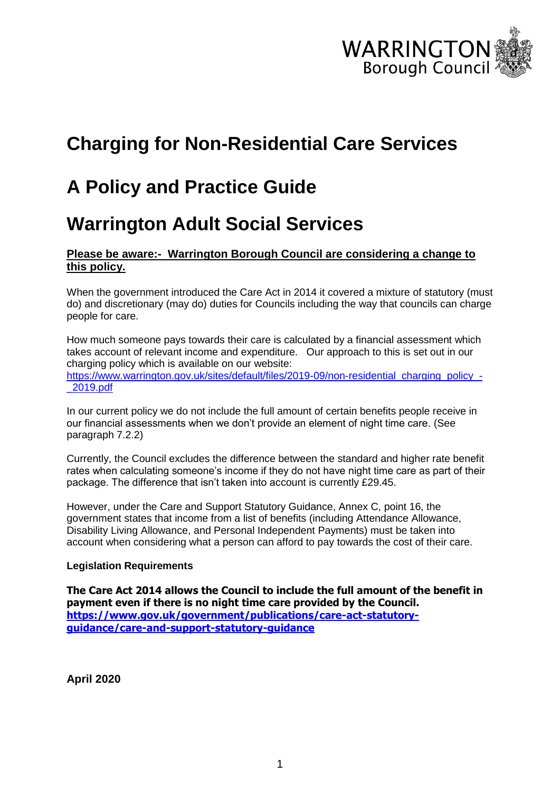

# **Charging for Non-Residential Care Services**

# **A Policy and Practice Guide**

# **Warrington Adult Social Services**

#### **Please be aware:- Warrington Borough Council are considering a change to this policy.**

When the government introduced the Care Act in 2014 it covered a mixture of statutory (must do) and discretionary (may do) duties for Councils including the way that councils can charge people for care.

How much someone pays towards their care is calculated by a financial assessment which takes account of relevant income and expenditure. Our approach to this is set out in our charging policy which is available on our website: [https://www.warrington.gov.uk/sites/default/files/2019-09/non-residential\\_charging\\_policy\\_-](https://www.warrington.gov.uk/sites/default/files/2019-09/non-residential_charging_policy_-_2019.pdf) [\\_2019.pdf](https://www.warrington.gov.uk/sites/default/files/2019-09/non-residential_charging_policy_-_2019.pdf)

In our current policy we do not include the full amount of certain benefits people receive in our financial assessments when we don't provide an element of night time care. (See paragraph 7.2.2)

Currently, the Council excludes the difference between the standard and higher rate benefit rates when calculating someone's income if they do not have night time care as part of their package. The difference that isn't taken into account is currently £29.45.

However, under the Care and Support Statutory Guidance, Annex C, point 16, the government states that income from a list of benefits (including Attendance Allowance, Disability Living Allowance, and Personal Independent Payments) must be taken into account when considering what a person can afford to pay towards the cost of their care.

#### **Legislation Requirements**

**The Care Act 2014 allows the Council to include the full amount of the benefit in payment even if there is no night time care provided by the Council. [https://www.gov.uk/government/publications/care-act-statutory](https://www.gov.uk/government/publications/care-act-statutory-guidance/care-and-support-statutory-guidance)[guidance/care-and-support-statutory-guidance](https://www.gov.uk/government/publications/care-act-statutory-guidance/care-and-support-statutory-guidance)**

**April 2020**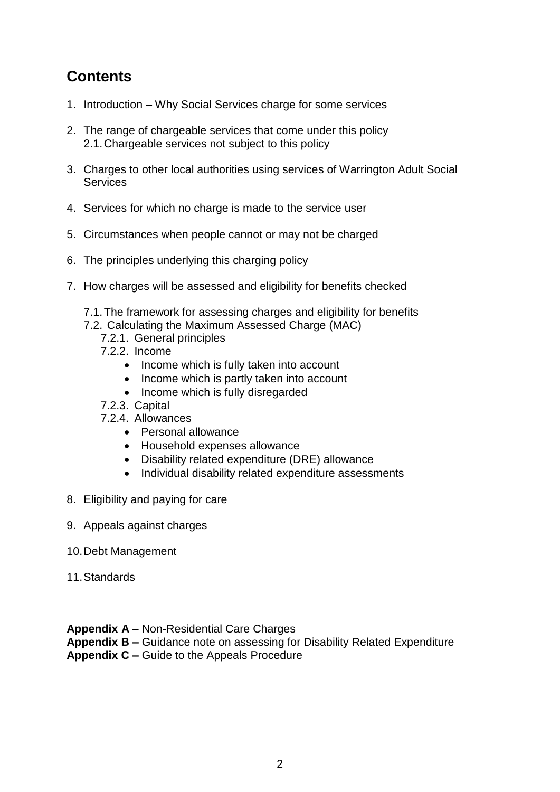# **Contents**

- 1. Introduction Why Social Services charge for some services
- 2. The range of chargeable services that come under this policy 2.1.Chargeable services not subject to this policy
- 3. Charges to other local authorities using services of Warrington Adult Social **Services**
- 4. Services for which no charge is made to the service user
- 5. Circumstances when people cannot or may not be charged
- 6. The principles underlying this charging policy
- 7. How charges will be assessed and eligibility for benefits checked
	- 7.1.The framework for assessing charges and eligibility for benefits
	- 7.2. Calculating the Maximum Assessed Charge (MAC)
		- 7.2.1. General principles
		- 7.2.2. Income
			- Income which is fully taken into account
			- Income which is partly taken into account
			- Income which is fully disregarded
		- 7.2.3. Capital
		- 7.2.4. Allowances
			- Personal allowance
			- Household expenses allowance
			- Disability related expenditure (DRE) allowance
			- Individual disability related expenditure assessments
- 8. Eligibility and paying for care
- 9. Appeals against charges
- 10.Debt Management
- 11.Standards

**Appendix A –** Non-Residential Care Charges **Appendix B –** Guidance note on assessing for Disability Related Expenditure **Appendix C –** Guide to the Appeals Procedure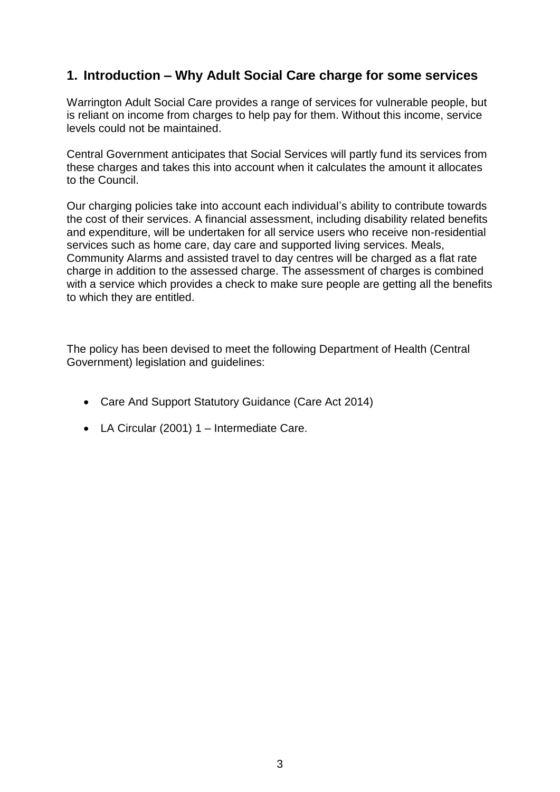# **1. Introduction – Why Adult Social Care charge for some services**

Warrington Adult Social Care provides a range of services for vulnerable people, but is reliant on income from charges to help pay for them. Without this income, service levels could not be maintained.

Central Government anticipates that Social Services will partly fund its services from these charges and takes this into account when it calculates the amount it allocates to the Council.

Our charging policies take into account each individual's ability to contribute towards the cost of their services. A financial assessment, including disability related benefits and expenditure, will be undertaken for all service users who receive non-residential services such as home care, day care and supported living services. Meals, Community Alarms and assisted travel to day centres will be charged as a flat rate charge in addition to the assessed charge. The assessment of charges is combined with a service which provides a check to make sure people are getting all the benefits to which they are entitled.

The policy has been devised to meet the following Department of Health (Central Government) legislation and guidelines:

- Care And Support Statutory Guidance (Care Act 2014)
- LA Circular (2001) 1 Intermediate Care.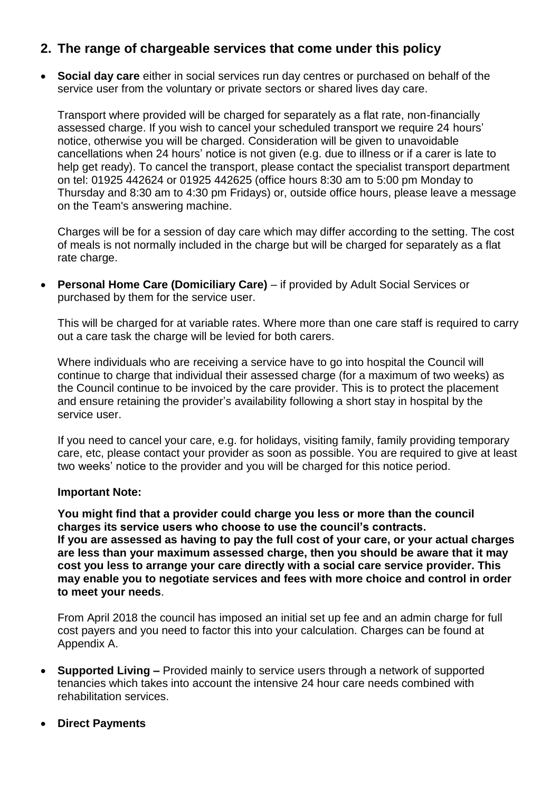## **2. The range of chargeable services that come under this policy**

 **Social day care** either in social services run day centres or purchased on behalf of the service user from the voluntary or private sectors or shared lives day care.

Transport where provided will be charged for separately as a flat rate, non-financially assessed charge. If you wish to cancel your scheduled transport we require 24 hours' notice, otherwise you will be charged. Consideration will be given to unavoidable cancellations when 24 hours' notice is not given (e.g. due to illness or if a carer is late to help get ready). To cancel the transport, please contact the specialist transport department on tel: 01925 442624 or 01925 442625 (office hours 8:30 am to 5:00 pm Monday to Thursday and 8:30 am to 4:30 pm Fridays) or, outside office hours, please leave a message on the Team's answering machine.

Charges will be for a session of day care which may differ according to the setting. The cost of meals is not normally included in the charge but will be charged for separately as a flat rate charge.

 **Personal Home Care (Domiciliary Care)** – if provided by Adult Social Services or purchased by them for the service user.

This will be charged for at variable rates. Where more than one care staff is required to carry out a care task the charge will be levied for both carers.

Where individuals who are receiving a service have to go into hospital the Council will continue to charge that individual their assessed charge (for a maximum of two weeks) as the Council continue to be invoiced by the care provider. This is to protect the placement and ensure retaining the provider's availability following a short stay in hospital by the service user.

If you need to cancel your care, e.g. for holidays, visiting family, family providing temporary care, etc, please contact your provider as soon as possible. You are required to give at least two weeks' notice to the provider and you will be charged for this notice period.

#### **Important Note:**

**You might find that a provider could charge you less or more than the council charges its service users who choose to use the council's contracts. If you are assessed as having to pay the full cost of your care, or your actual charges are less than your maximum assessed charge, then you should be aware that it may cost you less to arrange your care directly with a social care service provider. This may enable you to negotiate services and fees with more choice and control in order to meet your needs**.

From April 2018 the council has imposed an initial set up fee and an admin charge for full cost payers and you need to factor this into your calculation. Charges can be found at Appendix A.

- **Supported Living –** Provided mainly to service users through a network of supported tenancies which takes into account the intensive 24 hour care needs combined with rehabilitation services.
- **Direct Payments**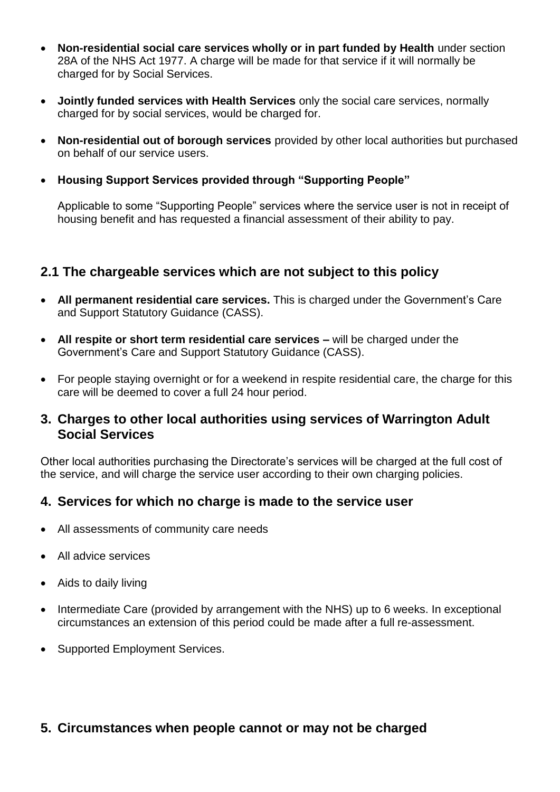- **Non-residential social care services wholly or in part funded by Health** under section 28A of the NHS Act 1977. A charge will be made for that service if it will normally be charged for by Social Services.
- **Jointly funded services with Health Services** only the social care services, normally charged for by social services, would be charged for.
- **Non-residential out of borough services** provided by other local authorities but purchased on behalf of our service users.
- **Housing Support Services provided through "Supporting People"**

Applicable to some "Supporting People" services where the service user is not in receipt of housing benefit and has requested a financial assessment of their ability to pay.

## **2.1 The chargeable services which are not subject to this policy**

- **All permanent residential care services.** This is charged under the Government's Care and Support Statutory Guidance (CASS).
- **All respite or short term residential care services –** will be charged under the Government's Care and Support Statutory Guidance (CASS).
- For people staying overnight or for a weekend in respite residential care, the charge for this care will be deemed to cover a full 24 hour period.

## **3. Charges to other local authorities using services of Warrington Adult Social Services**

Other local authorities purchasing the Directorate's services will be charged at the full cost of the service, and will charge the service user according to their own charging policies.

## **4. Services for which no charge is made to the service user**

- All assessments of community care needs
- All advice services
- Aids to daily living
- Intermediate Care (provided by arrangement with the NHS) up to 6 weeks. In exceptional circumstances an extension of this period could be made after a full re-assessment.
- Supported Employment Services.

## **5. Circumstances when people cannot or may not be charged**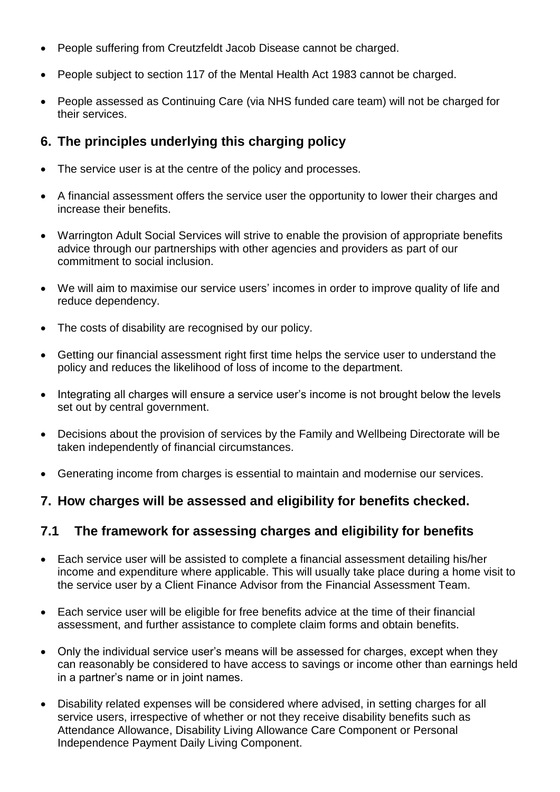- People suffering from Creutzfeldt Jacob Disease cannot be charged.
- People subject to section 117 of the Mental Health Act 1983 cannot be charged.
- People assessed as Continuing Care (via NHS funded care team) will not be charged for their services.

# **6. The principles underlying this charging policy**

- The service user is at the centre of the policy and processes.
- A financial assessment offers the service user the opportunity to lower their charges and increase their benefits.
- Warrington Adult Social Services will strive to enable the provision of appropriate benefits advice through our partnerships with other agencies and providers as part of our commitment to social inclusion.
- We will aim to maximise our service users' incomes in order to improve quality of life and reduce dependency.
- The costs of disability are recognised by our policy.
- Getting our financial assessment right first time helps the service user to understand the policy and reduces the likelihood of loss of income to the department.
- Integrating all charges will ensure a service user's income is not brought below the levels set out by central government.
- Decisions about the provision of services by the Family and Wellbeing Directorate will be taken independently of financial circumstances.
- Generating income from charges is essential to maintain and modernise our services.

# **7. How charges will be assessed and eligibility for benefits checked.**

# **7.1 The framework for assessing charges and eligibility for benefits**

- Each service user will be assisted to complete a financial assessment detailing his/her income and expenditure where applicable. This will usually take place during a home visit to the service user by a Client Finance Advisor from the Financial Assessment Team.
- Each service user will be eligible for free benefits advice at the time of their financial assessment, and further assistance to complete claim forms and obtain benefits.
- Only the individual service user's means will be assessed for charges, except when they can reasonably be considered to have access to savings or income other than earnings held in a partner's name or in joint names.
- Disability related expenses will be considered where advised, in setting charges for all service users, irrespective of whether or not they receive disability benefits such as Attendance Allowance, Disability Living Allowance Care Component or Personal Independence Payment Daily Living Component.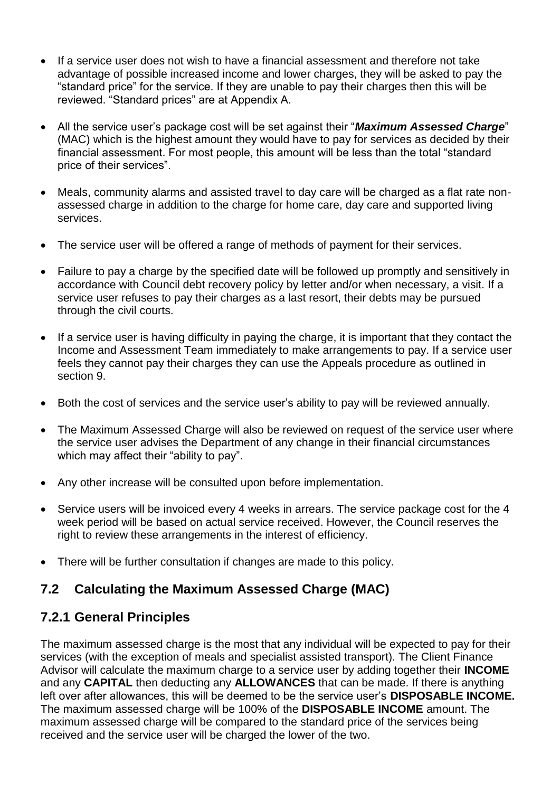- If a service user does not wish to have a financial assessment and therefore not take advantage of possible increased income and lower charges, they will be asked to pay the "standard price" for the service. If they are unable to pay their charges then this will be reviewed. "Standard prices" are at Appendix A.
- All the service user's package cost will be set against their "*Maximum Assessed Charge*" (MAC) which is the highest amount they would have to pay for services as decided by their financial assessment. For most people, this amount will be less than the total "standard price of their services".
- Meals, community alarms and assisted travel to day care will be charged as a flat rate nonassessed charge in addition to the charge for home care, day care and supported living services.
- The service user will be offered a range of methods of payment for their services.
- Failure to pay a charge by the specified date will be followed up promptly and sensitively in accordance with Council debt recovery policy by letter and/or when necessary, a visit. If a service user refuses to pay their charges as a last resort, their debts may be pursued through the civil courts.
- If a service user is having difficulty in paying the charge, it is important that they contact the Income and Assessment Team immediately to make arrangements to pay. If a service user feels they cannot pay their charges they can use the Appeals procedure as outlined in section 9.
- Both the cost of services and the service user's ability to pay will be reviewed annually.
- The Maximum Assessed Charge will also be reviewed on request of the service user where the service user advises the Department of any change in their financial circumstances which may affect their "ability to pay".
- Any other increase will be consulted upon before implementation.
- Service users will be invoiced every 4 weeks in arrears. The service package cost for the 4 week period will be based on actual service received. However, the Council reserves the right to review these arrangements in the interest of efficiency.
- There will be further consultation if changes are made to this policy.

# **7.2 Calculating the Maximum Assessed Charge (MAC)**

# **7.2.1 General Principles**

The maximum assessed charge is the most that any individual will be expected to pay for their services (with the exception of meals and specialist assisted transport). The Client Finance Advisor will calculate the maximum charge to a service user by adding together their **INCOME**  and any **CAPITAL** then deducting any **ALLOWANCES** that can be made. If there is anything left over after allowances, this will be deemed to be the service user's **DISPOSABLE INCOME.**  The maximum assessed charge will be 100% of the **DISPOSABLE INCOME** amount. The maximum assessed charge will be compared to the standard price of the services being received and the service user will be charged the lower of the two.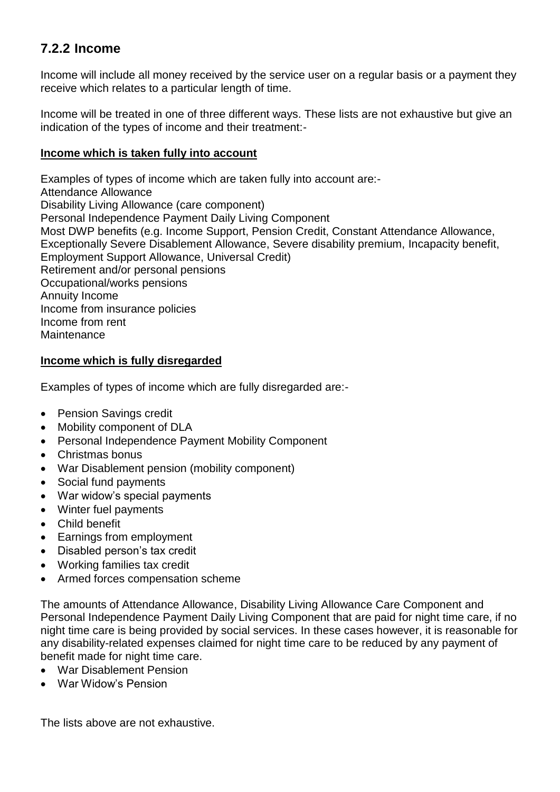# **7.2.2 Income**

Income will include all money received by the service user on a regular basis or a payment they receive which relates to a particular length of time.

Income will be treated in one of three different ways. These lists are not exhaustive but give an indication of the types of income and their treatment:-

#### **Income which is taken fully into account**

Examples of types of income which are taken fully into account are:- Attendance Allowance Disability Living Allowance (care component) Personal Independence Payment Daily Living Component Most DWP benefits (e.g. Income Support, Pension Credit, Constant Attendance Allowance, Exceptionally Severe Disablement Allowance, Severe disability premium, Incapacity benefit, Employment Support Allowance, Universal Credit) Retirement and/or personal pensions Occupational/works pensions Annuity Income Income from insurance policies Income from rent Maintenance

#### **Income which is fully disregarded**

Examples of types of income which are fully disregarded are:-

- Pension Savings credit
- Mobility component of DLA
- Personal Independence Payment Mobility Component
- Christmas bonus
- War Disablement pension (mobility component)
- Social fund payments
- War widow's special payments
- Winter fuel payments
- Child benefit
- Earnings from employment
- Disabled person's tax credit
- Working families tax credit
- Armed forces compensation scheme

The amounts of Attendance Allowance, Disability Living Allowance Care Component and Personal Independence Payment Daily Living Component that are paid for night time care, if no night time care is being provided by social services. In these cases however, it is reasonable for any disability-related expenses claimed for night time care to be reduced by any payment of benefit made for night time care.

- War Disablement Pension
- War Widow's Pension

The lists above are not exhaustive.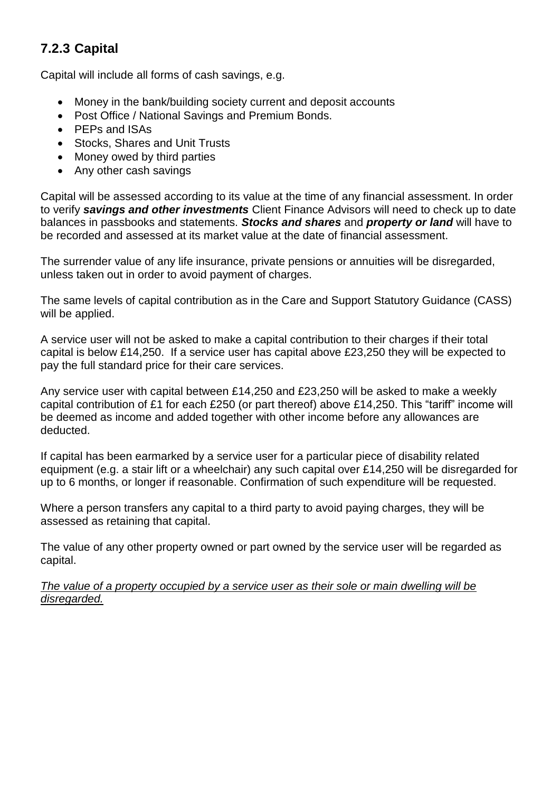# **7.2.3 Capital**

Capital will include all forms of cash savings, e.g.

- Money in the bank/building society current and deposit accounts
- Post Office / National Savings and Premium Bonds.
- PEPs and ISAs
- Stocks, Shares and Unit Trusts
- Money owed by third parties
- Any other cash savings

Capital will be assessed according to its value at the time of any financial assessment. In order to verify *savings and other investments* Client Finance Advisors will need to check up to date balances in passbooks and statements. *Stocks and shares* and *property or land* will have to be recorded and assessed at its market value at the date of financial assessment.

The surrender value of any life insurance, private pensions or annuities will be disregarded, unless taken out in order to avoid payment of charges.

The same levels of capital contribution as in the Care and Support Statutory Guidance (CASS) will be applied.

A service user will not be asked to make a capital contribution to their charges if their total capital is below £14,250. If a service user has capital above £23,250 they will be expected to pay the full standard price for their care services.

Any service user with capital between £14,250 and £23,250 will be asked to make a weekly capital contribution of £1 for each £250 (or part thereof) above £14,250. This "tariff" income will be deemed as income and added together with other income before any allowances are deducted.

If capital has been earmarked by a service user for a particular piece of disability related equipment (e.g. a stair lift or a wheelchair) any such capital over £14,250 will be disregarded for up to 6 months, or longer if reasonable. Confirmation of such expenditure will be requested.

Where a person transfers any capital to a third party to avoid paying charges, they will be assessed as retaining that capital.

The value of any other property owned or part owned by the service user will be regarded as capital.

*The value of a property occupied by a service user as their sole or main dwelling will be disregarded.*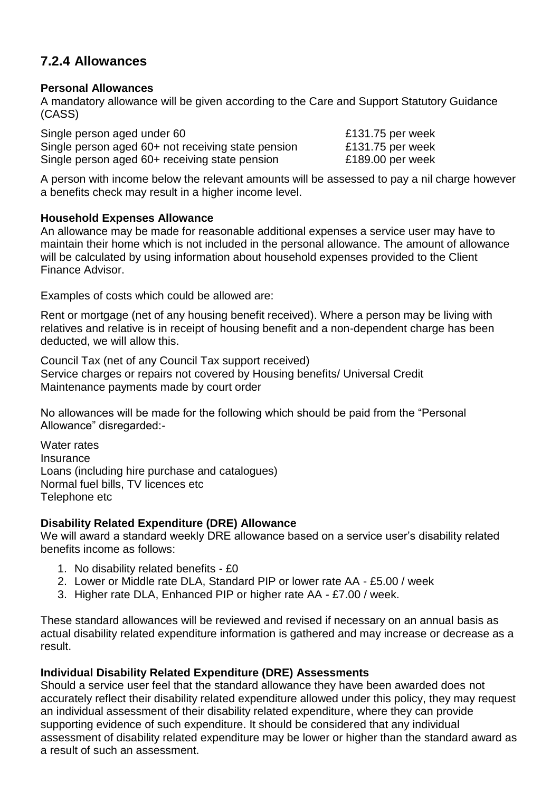# **7.2.4 Allowances**

#### **Personal Allowances**

A mandatory allowance will be given according to the Care and Support Statutory Guidance (CASS)

Single person aged under 60 **E131.75** per week Single person aged 60+ not receiving state pension £131.75 per week Single person aged 60+ receiving state pension E189.00 per week

A person with income below the relevant amounts will be assessed to pay a nil charge however a benefits check may result in a higher income level.

#### **Household Expenses Allowance**

An allowance may be made for reasonable additional expenses a service user may have to maintain their home which is not included in the personal allowance. The amount of allowance will be calculated by using information about household expenses provided to the Client Finance Advisor.

Examples of costs which could be allowed are:

Rent or mortgage (net of any housing benefit received). Where a person may be living with relatives and relative is in receipt of housing benefit and a non-dependent charge has been deducted, we will allow this.

Council Tax (net of any Council Tax support received) Service charges or repairs not covered by Housing benefits/ Universal Credit Maintenance payments made by court order

No allowances will be made for the following which should be paid from the "Personal Allowance" disregarded:-

Water rates Insurance Loans (including hire purchase and catalogues) Normal fuel bills, TV licences etc Telephone etc

#### **Disability Related Expenditure (DRE) Allowance**

We will award a standard weekly DRE allowance based on a service user's disability related benefits income as follows:

- 1. No disability related benefits £0
- 2. Lower or Middle rate DLA, Standard PIP or lower rate AA £5.00 / week
- 3. Higher rate DLA, Enhanced PIP or higher rate AA £7.00 / week.

These standard allowances will be reviewed and revised if necessary on an annual basis as actual disability related expenditure information is gathered and may increase or decrease as a result.

#### **Individual Disability Related Expenditure (DRE) Assessments**

Should a service user feel that the standard allowance they have been awarded does not accurately reflect their disability related expenditure allowed under this policy, they may request an individual assessment of their disability related expenditure, where they can provide supporting evidence of such expenditure. It should be considered that any individual assessment of disability related expenditure may be lower or higher than the standard award as a result of such an assessment.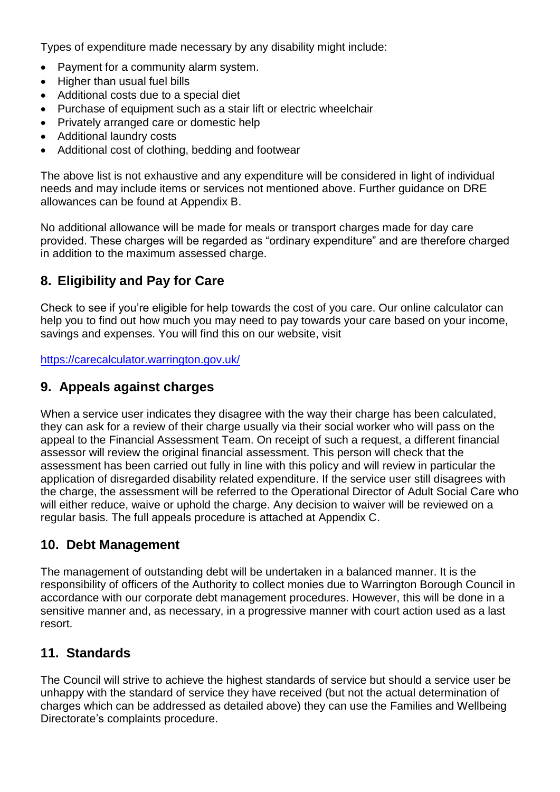Types of expenditure made necessary by any disability might include:

- Payment for a community alarm system.
- Higher than usual fuel bills
- Additional costs due to a special diet
- Purchase of equipment such as a stair lift or electric wheelchair
- Privately arranged care or domestic help
- Additional laundry costs
- Additional cost of clothing, bedding and footwear

The above list is not exhaustive and any expenditure will be considered in light of individual needs and may include items or services not mentioned above. Further guidance on DRE allowances can be found at Appendix B.

No additional allowance will be made for meals or transport charges made for day care provided. These charges will be regarded as "ordinary expenditure" and are therefore charged in addition to the maximum assessed charge.

# **8. Eligibility and Pay for Care**

Check to see if you're eligible for help towards the cost of you care. Our online calculator can help you to find out how much you may need to pay towards your care based on your income, savings and expenses. You will find this on our website, visit

<https://carecalculator.warrington.gov.uk/>

# **9. Appeals against charges**

When a service user indicates they disagree with the way their charge has been calculated, they can ask for a review of their charge usually via their social worker who will pass on the appeal to the Financial Assessment Team. On receipt of such a request, a different financial assessor will review the original financial assessment. This person will check that the assessment has been carried out fully in line with this policy and will review in particular the application of disregarded disability related expenditure. If the service user still disagrees with the charge, the assessment will be referred to the Operational Director of Adult Social Care who will either reduce, waive or uphold the charge. Any decision to waiver will be reviewed on a regular basis. The full appeals procedure is attached at Appendix C.

# **10. Debt Management**

The management of outstanding debt will be undertaken in a balanced manner. It is the responsibility of officers of the Authority to collect monies due to Warrington Borough Council in accordance with our corporate debt management procedures. However, this will be done in a sensitive manner and, as necessary, in a progressive manner with court action used as a last resort.

# **11. Standards**

The Council will strive to achieve the highest standards of service but should a service user be unhappy with the standard of service they have received (but not the actual determination of charges which can be addressed as detailed above) they can use the Families and Wellbeing Directorate's complaints procedure.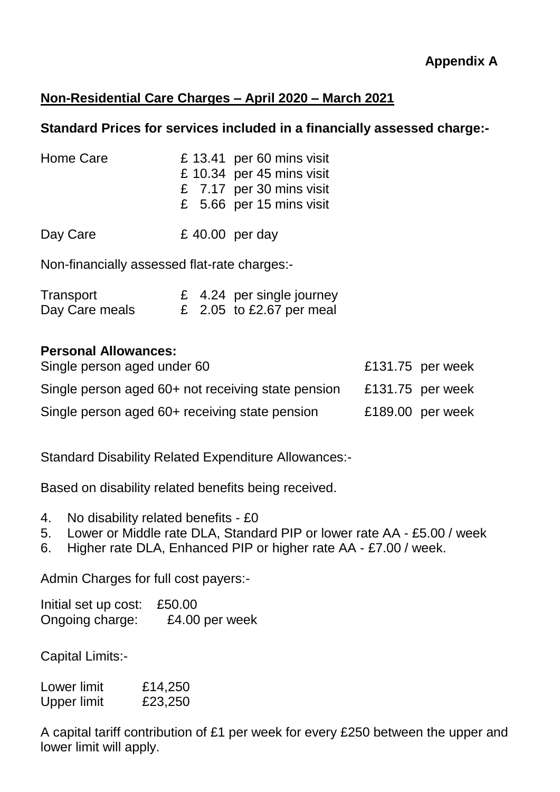# **Non-Residential Care Charges – April 2020 – March 2021**

## **Standard Prices for services included in a financially assessed charge:-**

| Home Care                                    | £ 13.41 per 60 mins visit<br>£ 10.34 per 45 mins visit<br>£ 7.17 per 30 mins visit<br>£ 5.66 per 15 mins visit |  |
|----------------------------------------------|----------------------------------------------------------------------------------------------------------------|--|
| Day Care                                     | £ 40.00 per day                                                                                                |  |
| Non-financially assessed flat-rate charges:- |                                                                                                                |  |

| Transport      |  | £ 4.24 per single journey |
|----------------|--|---------------------------|
| Day Care meals |  | £ 2.05 to £2.67 per meal  |

# **Personal Allowances:**

| Single person aged under 60                        | £131.75 per week |
|----------------------------------------------------|------------------|
| Single person aged 60+ not receiving state pension | £131.75 per week |
| Single person aged 60+ receiving state pension     | £189.00 per week |

Standard Disability Related Expenditure Allowances:-

Based on disability related benefits being received.

- 4. No disability related benefits £0
- 5. Lower or Middle rate DLA, Standard PIP or lower rate AA £5.00 / week
- 6. Higher rate DLA, Enhanced PIP or higher rate AA £7.00 / week.

Admin Charges for full cost payers:-

Initial set up cost: £50.00 Ongoing charge: £4.00 per week

Capital Limits:-

Lower limit £14,250 Upper limit £23,250

A capital tariff contribution of £1 per week for every £250 between the upper and lower limit will apply.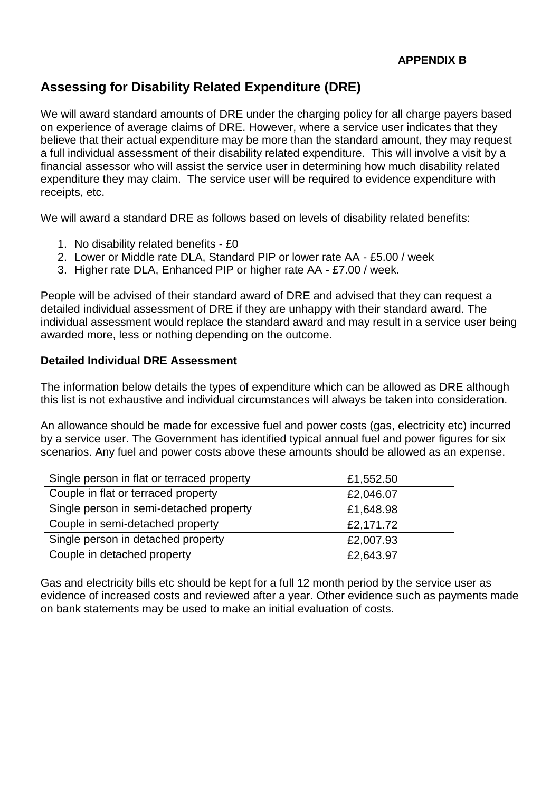# **Assessing for Disability Related Expenditure (DRE)**

We will award standard amounts of DRE under the charging policy for all charge payers based on experience of average claims of DRE. However, where a service user indicates that they believe that their actual expenditure may be more than the standard amount, they may request a full individual assessment of their disability related expenditure. This will involve a visit by a financial assessor who will assist the service user in determining how much disability related expenditure they may claim. The service user will be required to evidence expenditure with receipts, etc.

We will award a standard DRE as follows based on levels of disability related benefits:

- 1. No disability related benefits £0
- 2. Lower or Middle rate DLA, Standard PIP or lower rate AA £5.00 / week
- 3. Higher rate DLA, Enhanced PIP or higher rate AA £7.00 / week.

People will be advised of their standard award of DRE and advised that they can request a detailed individual assessment of DRE if they are unhappy with their standard award. The individual assessment would replace the standard award and may result in a service user being awarded more, less or nothing depending on the outcome.

#### **Detailed Individual DRE Assessment**

The information below details the types of expenditure which can be allowed as DRE although this list is not exhaustive and individual circumstances will always be taken into consideration.

An allowance should be made for excessive fuel and power costs (gas, electricity etc) incurred by a service user. The Government has identified typical annual fuel and power figures for six scenarios. Any fuel and power costs above these amounts should be allowed as an expense.

| Single person in flat or terraced property | £1,552.50 |
|--------------------------------------------|-----------|
| Couple in flat or terraced property        | £2,046.07 |
| Single person in semi-detached property    | £1,648.98 |
| Couple in semi-detached property           | £2,171.72 |
| Single person in detached property         | £2,007.93 |
| Couple in detached property                | £2,643.97 |

Gas and electricity bills etc should be kept for a full 12 month period by the service user as evidence of increased costs and reviewed after a year. Other evidence such as payments made on bank statements may be used to make an initial evaluation of costs.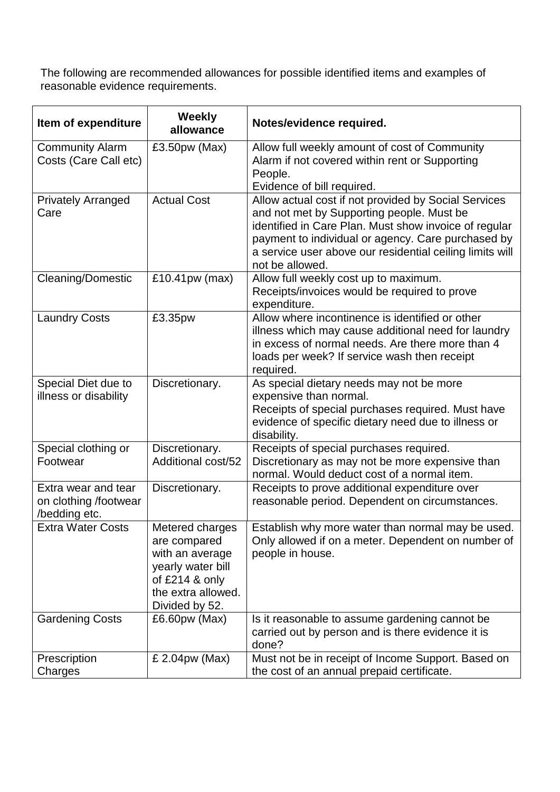The following are recommended allowances for possible identified items and examples of reasonable evidence requirements.

| Item of expenditure                                           | <b>Weekly</b><br>allowance                                                                                                          | Notes/evidence required.                                                                                                                                                                                                                                                                        |
|---------------------------------------------------------------|-------------------------------------------------------------------------------------------------------------------------------------|-------------------------------------------------------------------------------------------------------------------------------------------------------------------------------------------------------------------------------------------------------------------------------------------------|
| <b>Community Alarm</b><br>Costs (Care Call etc)               | £3.50pw (Max)                                                                                                                       | Allow full weekly amount of cost of Community<br>Alarm if not covered within rent or Supporting<br>People.<br>Evidence of bill required.                                                                                                                                                        |
| <b>Privately Arranged</b><br>Care                             | <b>Actual Cost</b>                                                                                                                  | Allow actual cost if not provided by Social Services<br>and not met by Supporting people. Must be<br>identified in Care Plan. Must show invoice of regular<br>payment to individual or agency. Care purchased by<br>a service user above our residential ceiling limits will<br>not be allowed. |
| <b>Cleaning/Domestic</b>                                      | £10.41pw (max)                                                                                                                      | Allow full weekly cost up to maximum.<br>Receipts/invoices would be required to prove<br>expenditure.                                                                                                                                                                                           |
| <b>Laundry Costs</b>                                          | £3.35pw                                                                                                                             | Allow where incontinence is identified or other<br>illness which may cause additional need for laundry<br>in excess of normal needs. Are there more than 4<br>loads per week? If service wash then receipt<br>required.                                                                         |
| Special Diet due to<br>illness or disability                  | Discretionary.                                                                                                                      | As special dietary needs may not be more<br>expensive than normal.<br>Receipts of special purchases required. Must have<br>evidence of specific dietary need due to illness or<br>disability.                                                                                                   |
| Special clothing or<br>Footwear                               | Discretionary.<br>Additional cost/52                                                                                                | Receipts of special purchases required.<br>Discretionary as may not be more expensive than<br>normal. Would deduct cost of a normal item.                                                                                                                                                       |
| Extra wear and tear<br>on clothing /footwear<br>/bedding etc. | Discretionary.                                                                                                                      | Receipts to prove additional expenditure over<br>reasonable period. Dependent on circumstances.                                                                                                                                                                                                 |
| <b>Extra Water Costs</b>                                      | Metered charges<br>are compared<br>with an average<br>yearly water bill<br>of $£214$ & only<br>the extra allowed.<br>Divided by 52. | Establish why more water than normal may be used.<br>Only allowed if on a meter. Dependent on number of<br>people in house.                                                                                                                                                                     |
| <b>Gardening Costs</b>                                        | $£6.60pw$ (Max)                                                                                                                     | Is it reasonable to assume gardening cannot be<br>carried out by person and is there evidence it is<br>done?                                                                                                                                                                                    |
| Prescription<br>Charges                                       | £ 2.04pw (Max)                                                                                                                      | Must not be in receipt of Income Support. Based on<br>the cost of an annual prepaid certificate.                                                                                                                                                                                                |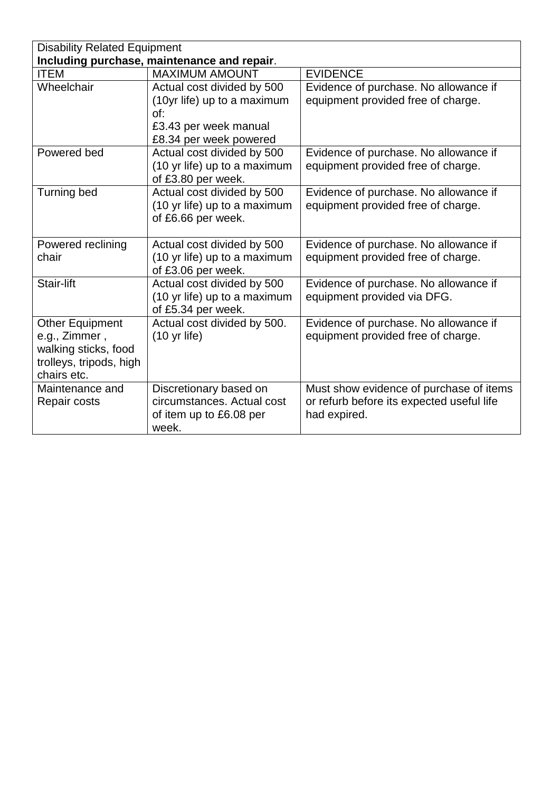| <b>Disability Related Equipment</b> |                                             |                                           |
|-------------------------------------|---------------------------------------------|-------------------------------------------|
|                                     | Including purchase, maintenance and repair. |                                           |
| <b>ITEM</b>                         | <b>MAXIMUM AMOUNT</b>                       | <b>EVIDENCE</b>                           |
| Wheelchair                          | Actual cost divided by 500                  | Evidence of purchase. No allowance if     |
|                                     | (10yr life) up to a maximum                 | equipment provided free of charge.        |
|                                     | of:                                         |                                           |
|                                     | £3.43 per week manual                       |                                           |
|                                     | £8.34 per week powered                      |                                           |
| Powered bed                         | Actual cost divided by 500                  | Evidence of purchase. No allowance if     |
|                                     | (10 yr life) up to a maximum                | equipment provided free of charge.        |
|                                     | of £3.80 per week.                          |                                           |
| Turning bed                         | Actual cost divided by 500                  | Evidence of purchase. No allowance if     |
|                                     | (10 yr life) up to a maximum                | equipment provided free of charge.        |
|                                     | of £6.66 per week.                          |                                           |
|                                     |                                             |                                           |
| Powered reclining                   | Actual cost divided by 500                  | Evidence of purchase. No allowance if     |
| chair                               | (10 yr life) up to a maximum                | equipment provided free of charge.        |
|                                     | of £3.06 per week.                          |                                           |
| Stair-lift                          | Actual cost divided by 500                  | Evidence of purchase. No allowance if     |
|                                     | (10 yr life) up to a maximum                | equipment provided via DFG.               |
|                                     | of £5.34 per week.                          |                                           |
| <b>Other Equipment</b>              | Actual cost divided by 500.                 | Evidence of purchase. No allowance if     |
| e.g., Zimmer,                       | $(10 \text{ yr life})$                      | equipment provided free of charge.        |
| walking sticks, food                |                                             |                                           |
| trolleys, tripods, high             |                                             |                                           |
| chairs etc.                         |                                             |                                           |
| Maintenance and                     | Discretionary based on                      | Must show evidence of purchase of items   |
| Repair costs                        | circumstances. Actual cost                  | or refurb before its expected useful life |
|                                     | of item up to £6.08 per                     | had expired.                              |
|                                     | week.                                       |                                           |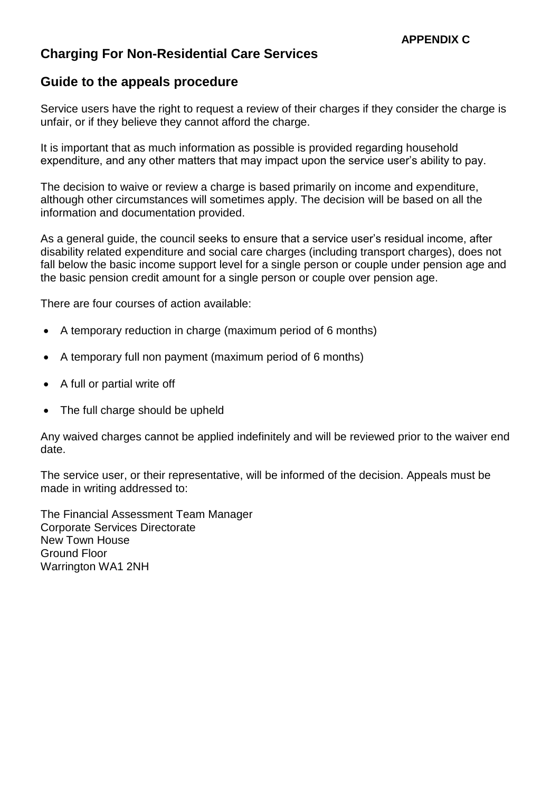# **Charging For Non-Residential Care Services**

## **Guide to the appeals procedure**

Service users have the right to request a review of their charges if they consider the charge is unfair, or if they believe they cannot afford the charge.

It is important that as much information as possible is provided regarding household expenditure, and any other matters that may impact upon the service user's ability to pay.

The decision to waive or review a charge is based primarily on income and expenditure, although other circumstances will sometimes apply. The decision will be based on all the information and documentation provided.

As a general guide, the council seeks to ensure that a service user's residual income, after disability related expenditure and social care charges (including transport charges), does not fall below the basic income support level for a single person or couple under pension age and the basic pension credit amount for a single person or couple over pension age.

There are four courses of action available:

- A temporary reduction in charge (maximum period of 6 months)
- A temporary full non payment (maximum period of 6 months)
- A full or partial write off
- The full charge should be upheld

Any waived charges cannot be applied indefinitely and will be reviewed prior to the waiver end date.

The service user, or their representative, will be informed of the decision. Appeals must be made in writing addressed to:

The Financial Assessment Team Manager Corporate Services Directorate New Town House Ground Floor Warrington WA1 2NH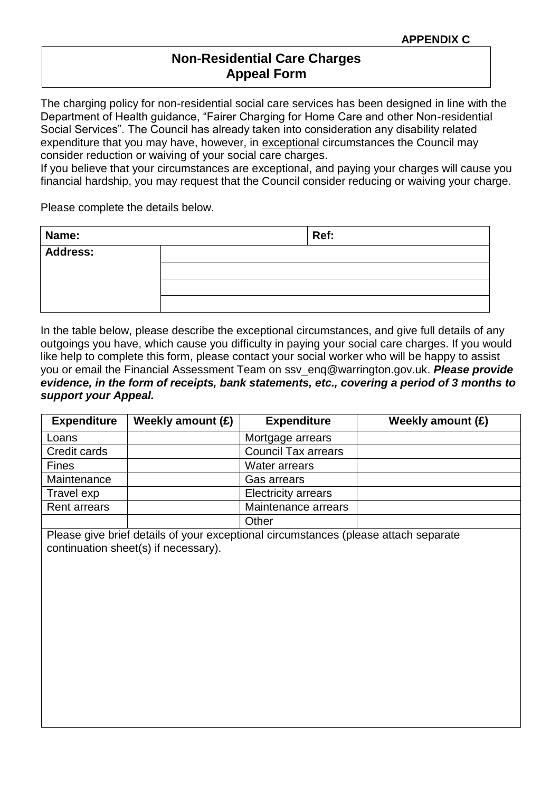## **Non-Residential Care Charges Appeal Form**

The charging policy for non-residential social care services has been designed in line with the Department of Health guidance, "Fairer Charging for Home Care and other Non-residential Social Services". The Council has already taken into consideration any disability related expenditure that you may have, however, in exceptional circumstances the Council may consider reduction or waiving of your social care charges.

If you believe that your circumstances are exceptional, and paying your charges will cause you financial hardship, you may request that the Council consider reducing or waiving your charge.

Please complete the details below.

| Name:           | Ref: |
|-----------------|------|
| <b>Address:</b> |      |
|                 |      |
|                 |      |
|                 |      |

In the table below, please describe the exceptional circumstances, and give full details of any outgoings you have, which cause you difficulty in paying your social care charges. If you would like help to complete this form, please contact your social worker who will be happy to assist you or email the Financial Assessment Team on ssv\_enq@warrington.gov.uk. *Please provide evidence, in the form of receipts, bank statements, etc., covering a period of 3 months to support your Appeal.*

| <b>Expenditure</b>  | Weekly amount (£) | <b>Expenditure</b>         | Weekly amount (£) |
|---------------------|-------------------|----------------------------|-------------------|
| Loans               |                   | Mortgage arrears           |                   |
| Credit cards        |                   | <b>Council Tax arrears</b> |                   |
| <b>Fines</b>        |                   | Water arrears              |                   |
| Maintenance         |                   | Gas arrears                |                   |
| Travel exp          |                   | <b>Electricity arrears</b> |                   |
| <b>Rent arrears</b> |                   | Maintenance arrears        |                   |
|                     |                   | Other                      |                   |

Please give brief details of your exceptional circumstances (please attach separate continuation sheet(s) if necessary).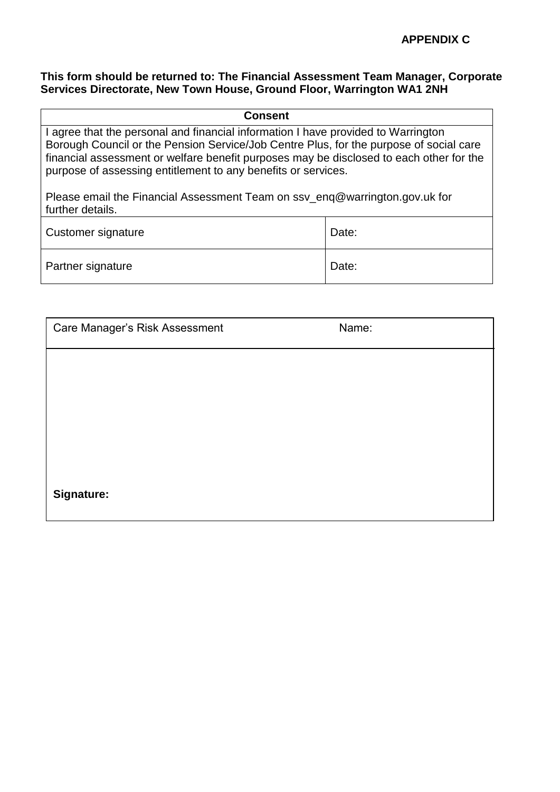#### **This form should be returned to: The Financial Assessment Team Manager, Corporate Services Directorate, New Town House, Ground Floor, Warrington WA1 2NH**

| <b>Consent</b>                                                                                                                                                                                                                                                                                                                          |       |  |
|-----------------------------------------------------------------------------------------------------------------------------------------------------------------------------------------------------------------------------------------------------------------------------------------------------------------------------------------|-------|--|
| I agree that the personal and financial information I have provided to Warrington<br>Borough Council or the Pension Service/Job Centre Plus, for the purpose of social care<br>financial assessment or welfare benefit purposes may be disclosed to each other for the<br>purpose of assessing entitlement to any benefits or services. |       |  |
| Please email the Financial Assessment Team on ssy_eng@warrington.gov.uk for<br>further details.                                                                                                                                                                                                                                         |       |  |
| Customer signature                                                                                                                                                                                                                                                                                                                      | Date: |  |
| Partner signature                                                                                                                                                                                                                                                                                                                       | Date: |  |

| Care Manager's Risk Assessment | Name: |  |
|--------------------------------|-------|--|
|                                |       |  |
|                                |       |  |
|                                |       |  |
|                                |       |  |
| Signature:                     |       |  |